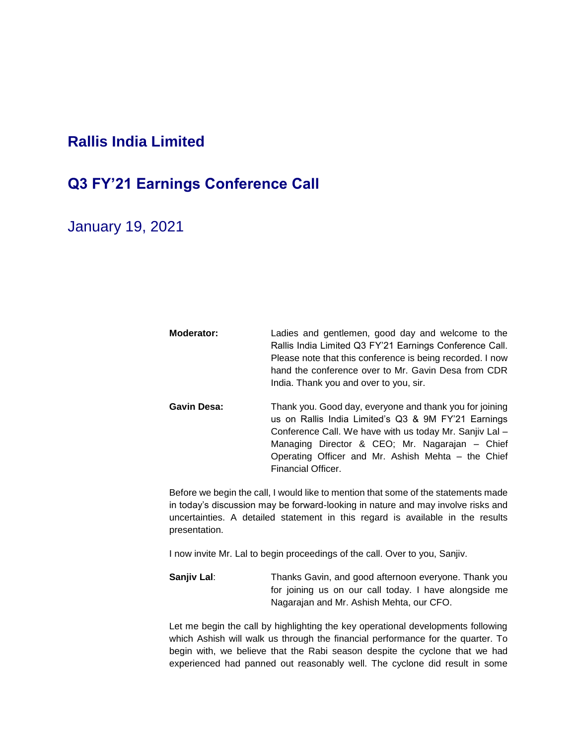## **Rallis India Limited**

## **Q3 FY'21 Earnings Conference Call**

January 19, 2021

- **Moderator:** Ladies and gentlemen, good day and welcome to the Rallis India Limited Q3 FY'21 Earnings Conference Call. Please note that this conference is being recorded. I now hand the conference over to Mr. Gavin Desa from CDR India. Thank you and over to you, sir. Gavin Desa: Thank you. Good day, everyone and thank you for joining
	- us on Rallis India Limited's Q3 & 9M FY'21 Earnings Conference Call. We have with us today Mr. Sanjiv Lal – Managing Director & CEO; Mr. Nagarajan – Chief Operating Officer and Mr. Ashish Mehta – the Chief Financial Officer.

Before we begin the call, I would like to mention that some of the statements made in today's discussion may be forward-looking in nature and may involve risks and uncertainties. A detailed statement in this regard is available in the results presentation.

I now invite Mr. Lal to begin proceedings of the call. Over to you, Sanjiv.

**Sanjiv Lal:** Thanks Gavin, and good afternoon everyone. Thank you for joining us on our call today. I have alongside me Nagarajan and Mr. Ashish Mehta, our CFO.

Let me begin the call by highlighting the key operational developments following which Ashish will walk us through the financial performance for the quarter. To begin with, we believe that the Rabi season despite the cyclone that we had experienced had panned out reasonably well. The cyclone did result in some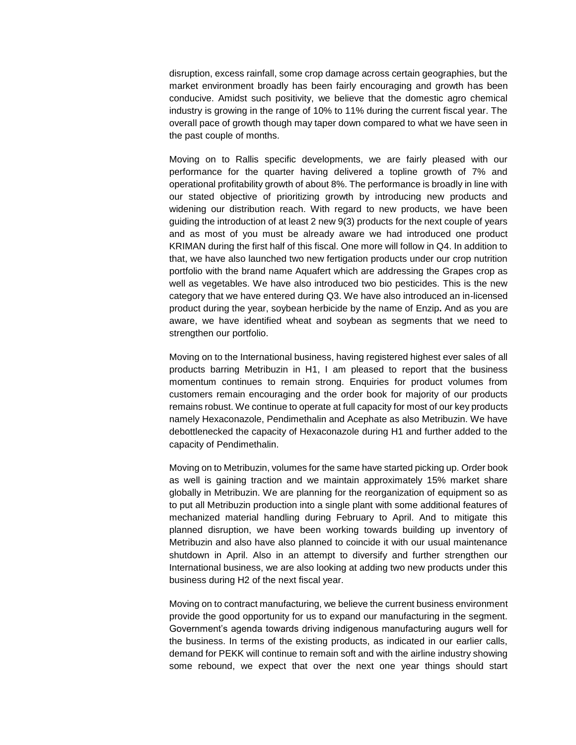disruption, excess rainfall, some crop damage across certain geographies, but the market environment broadly has been fairly encouraging and growth has been conducive. Amidst such positivity, we believe that the domestic agro chemical industry is growing in the range of 10% to 11% during the current fiscal year. The overall pace of growth though may taper down compared to what we have seen in the past couple of months.

Moving on to Rallis specific developments, we are fairly pleased with our performance for the quarter having delivered a topline growth of 7% and operational profitability growth of about 8%. The performance is broadly in line with our stated objective of prioritizing growth by introducing new products and widening our distribution reach. With regard to new products, we have been guiding the introduction of at least 2 new 9(3) products for the next couple of years and as most of you must be already aware we had introduced one product KRIMAN during the first half of this fiscal. One more will follow in Q4. In addition to that, we have also launched two new fertigation products under our crop nutrition portfolio with the brand name Aquafert which are addressing the Grapes crop as well as vegetables. We have also introduced two bio pesticides. This is the new category that we have entered during Q3. We have also introduced an in-licensed product during the year, soybean herbicide by the name of Enzip**.** And as you are aware, we have identified wheat and soybean as segments that we need to strengthen our portfolio.

Moving on to the International business, having registered highest ever sales of all products barring Metribuzin in H1, I am pleased to report that the business momentum continues to remain strong. Enquiries for product volumes from customers remain encouraging and the order book for majority of our products remains robust. We continue to operate at full capacity for most of our key products namely Hexaconazole, Pendimethalin and Acephate as also Metribuzin. We have debottlenecked the capacity of Hexaconazole during H1 and further added to the capacity of Pendimethalin.

Moving on to Metribuzin, volumes for the same have started picking up. Order book as well is gaining traction and we maintain approximately 15% market share globally in Metribuzin. We are planning for the reorganization of equipment so as to put all Metribuzin production into a single plant with some additional features of mechanized material handling during February to April. And to mitigate this planned disruption, we have been working towards building up inventory of Metribuzin and also have also planned to coincide it with our usual maintenance shutdown in April. Also in an attempt to diversify and further strengthen our International business, we are also looking at adding two new products under this business during H2 of the next fiscal year.

Moving on to contract manufacturing, we believe the current business environment provide the good opportunity for us to expand our manufacturing in the segment. Government's agenda towards driving indigenous manufacturing augurs well for the business. In terms of the existing products, as indicated in our earlier calls, demand for PEKK will continue to remain soft and with the airline industry showing some rebound, we expect that over the next one year things should start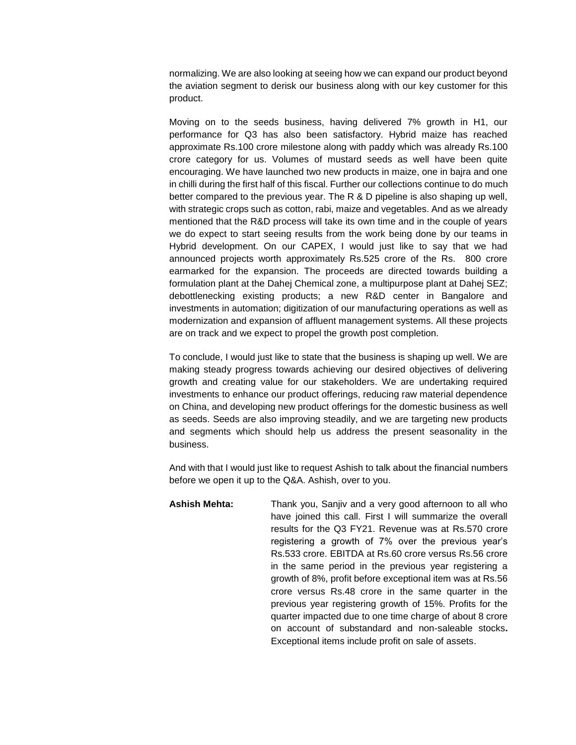normalizing. We are also looking at seeing how we can expand our product beyond the aviation segment to derisk our business along with our key customer for this product.

Moving on to the seeds business, having delivered 7% growth in H1, our performance for Q3 has also been satisfactory. Hybrid maize has reached approximate Rs.100 crore milestone along with paddy which was already Rs.100 crore category for us. Volumes of mustard seeds as well have been quite encouraging. We have launched two new products in maize, one in bajra and one in chilli during the first half of this fiscal. Further our collections continue to do much better compared to the previous year. The R & D pipeline is also shaping up well, with strategic crops such as cotton, rabi, maize and vegetables. And as we already mentioned that the R&D process will take its own time and in the couple of years we do expect to start seeing results from the work being done by our teams in Hybrid development. On our CAPEX, I would just like to say that we had announced projects worth approximately Rs.525 crore of the Rs. 800 crore earmarked for the expansion. The proceeds are directed towards building a formulation plant at the Dahej Chemical zone, a multipurpose plant at Dahej SEZ; debottlenecking existing products; a new R&D center in Bangalore and investments in automation; digitization of our manufacturing operations as well as modernization and expansion of affluent management systems. All these projects are on track and we expect to propel the growth post completion.

To conclude, I would just like to state that the business is shaping up well. We are making steady progress towards achieving our desired objectives of delivering growth and creating value for our stakeholders. We are undertaking required investments to enhance our product offerings, reducing raw material dependence on China, and developing new product offerings for the domestic business as well as seeds. Seeds are also improving steadily, and we are targeting new products and segments which should help us address the present seasonality in the business.

And with that I would just like to request Ashish to talk about the financial numbers before we open it up to the Q&A. Ashish, over to you.

**Ashish Mehta:** Thank you, Sanjiv and a very good afternoon to all who have joined this call. First I will summarize the overall results for the Q3 FY21. Revenue was at Rs.570 crore registering a growth of 7% over the previous year's Rs.533 crore. EBITDA at Rs.60 crore versus Rs.56 crore in the same period in the previous year registering a growth of 8%, profit before exceptional item was at Rs.56 crore versus Rs.48 crore in the same quarter in the previous year registering growth of 15%. Profits for the quarter impacted due to one time charge of about 8 crore on account of substandard and non-saleable stocks**.**  Exceptional items include profit on sale of assets.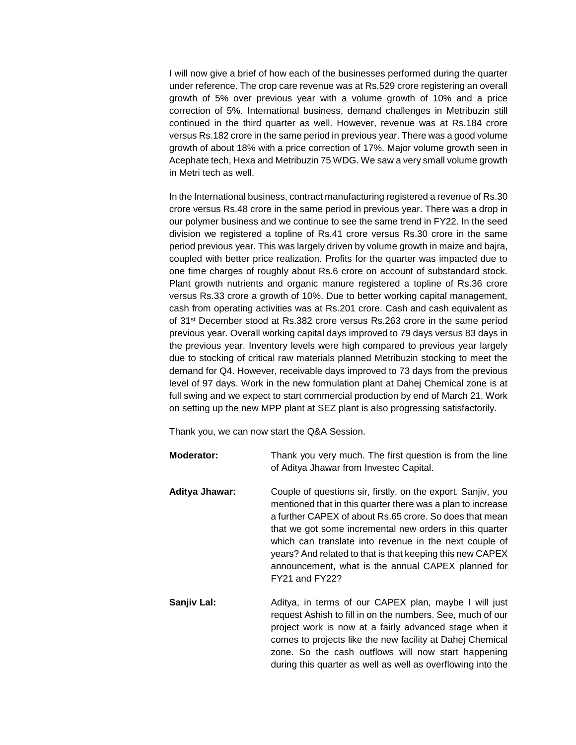I will now give a brief of how each of the businesses performed during the quarter under reference. The crop care revenue was at Rs.529 crore registering an overall growth of 5% over previous year with a volume growth of 10% and a price correction of 5%. International business, demand challenges in Metribuzin still continued in the third quarter as well. However, revenue was at Rs.184 crore versus Rs.182 crore in the same period in previous year. There was a good volume growth of about 18% with a price correction of 17%. Major volume growth seen in Acephate tech, Hexa and Metribuzin 75 WDG. We saw a very small volume growth in Metri tech as well.

In the International business, contract manufacturing registered a revenue of Rs.30 crore versus Rs.48 crore in the same period in previous year. There was a drop in our polymer business and we continue to see the same trend in FY22. In the seed division we registered a topline of Rs.41 crore versus Rs.30 crore in the same period previous year. This was largely driven by volume growth in maize and bajra, coupled with better price realization. Profits for the quarter was impacted due to one time charges of roughly about Rs.6 crore on account of substandard stock. Plant growth nutrients and organic manure registered a topline of Rs.36 crore versus Rs.33 crore a growth of 10%. Due to better working capital management, cash from operating activities was at Rs.201 crore. Cash and cash equivalent as of 31st December stood at Rs.382 crore versus Rs.263 crore in the same period previous year. Overall working capital days improved to 79 days versus 83 days in the previous year. Inventory levels were high compared to previous year largely due to stocking of critical raw materials planned Metribuzin stocking to meet the demand for Q4. However, receivable days improved to 73 days from the previous level of 97 days. Work in the new formulation plant at Dahej Chemical zone is at full swing and we expect to start commercial production by end of March 21. Work on setting up the new MPP plant at SEZ plant is also progressing satisfactorily.

Thank you, we can now start the Q&A Session.

| <b>Moderator:</b> | Thank you very much. The first question is from the line<br>of Aditya Jhawar from Investec Capital.                                                                                                                                                                                                                                                                                                                                              |
|-------------------|--------------------------------------------------------------------------------------------------------------------------------------------------------------------------------------------------------------------------------------------------------------------------------------------------------------------------------------------------------------------------------------------------------------------------------------------------|
| Aditya Jhawar:    | Couple of questions sir, firstly, on the export. Sanjiv, you<br>mentioned that in this quarter there was a plan to increase<br>a further CAPEX of about Rs.65 crore. So does that mean<br>that we got some incremental new orders in this quarter<br>which can translate into revenue in the next couple of<br>years? And related to that is that keeping this new CAPEX<br>announcement, what is the annual CAPEX planned for<br>FY21 and FY22? |
| Sanjiv Lal:       | Aditya, in terms of our CAPEX plan, maybe I will just<br>request Ashish to fill in on the numbers. See, much of our<br>project work is now at a fairly advanced stage when it<br>comes to projects like the new facility at Dahej Chemical<br>zone. So the cash outflows will now start happening<br>during this quarter as well as well as overflowing into the                                                                                 |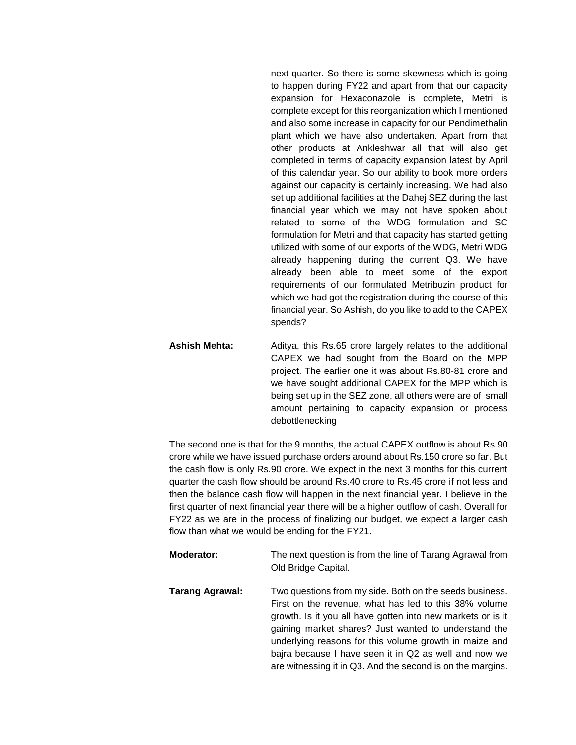next quarter. So there is some skewness which is going to happen during FY22 and apart from that our capacity expansion for Hexaconazole is complete, Metri is complete except for this reorganization which I mentioned and also some increase in capacity for our Pendimethalin plant which we have also undertaken. Apart from that other products at Ankleshwar all that will also get completed in terms of capacity expansion latest by April of this calendar year. So our ability to book more orders against our capacity is certainly increasing. We had also set up additional facilities at the Dahej SEZ during the last financial year which we may not have spoken about related to some of the WDG formulation and SC formulation for Metri and that capacity has started getting utilized with some of our exports of the WDG, Metri WDG already happening during the current Q3. We have already been able to meet some of the export requirements of our formulated Metribuzin product for which we had got the registration during the course of this financial year. So Ashish, do you like to add to the CAPEX spends?

Ashish Mehta: Aditya, this Rs.65 crore largely relates to the additional CAPEX we had sought from the Board on the MPP project. The earlier one it was about Rs.80-81 crore and we have sought additional CAPEX for the MPP which is being set up in the SEZ zone, all others were are of small amount pertaining to capacity expansion or process debottlenecking

The second one is that for the 9 months, the actual CAPEX outflow is about Rs.90 crore while we have issued purchase orders around about Rs.150 crore so far. But the cash flow is only Rs.90 crore. We expect in the next 3 months for this current quarter the cash flow should be around Rs.40 crore to Rs.45 crore if not less and then the balance cash flow will happen in the next financial year. I believe in the first quarter of next financial year there will be a higher outflow of cash. Overall for FY22 as we are in the process of finalizing our budget, we expect a larger cash flow than what we would be ending for the FY21.

- **Moderator:** The next question is from the line of Tarang Agrawal from Old Bridge Capital.
- **Tarang Agrawal:** Two questions from my side. Both on the seeds business. First on the revenue, what has led to this 38% volume growth. Is it you all have gotten into new markets or is it gaining market shares? Just wanted to understand the underlying reasons for this volume growth in maize and bajra because I have seen it in Q2 as well and now we are witnessing it in Q3. And the second is on the margins.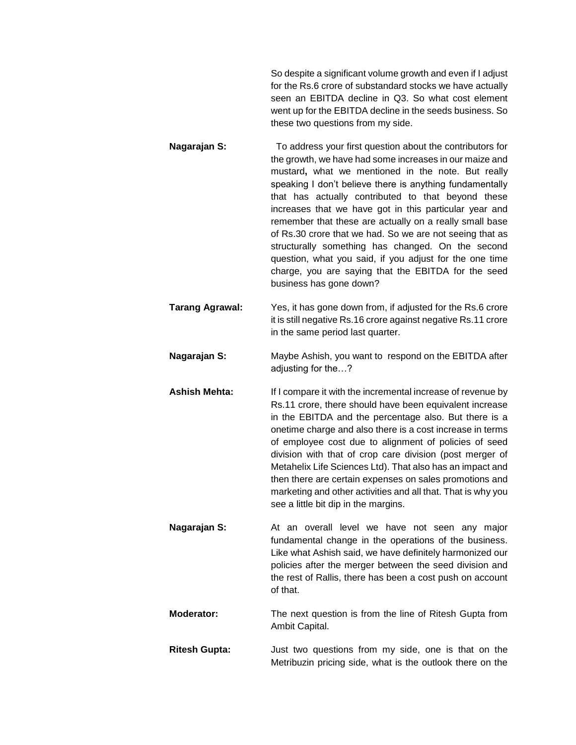So despite a significant volume growth and even if I adjust for the Rs.6 crore of substandard stocks we have actually seen an EBITDA decline in Q3. So what cost element went up for the EBITDA decline in the seeds business. So these two questions from my side.

- **Nagarajan S:** To address your first question about the contributors for the growth, we have had some increases in our maize and mustard**,** what we mentioned in the note. But really speaking I don't believe there is anything fundamentally that has actually contributed to that beyond these increases that we have got in this particular year and remember that these are actually on a really small base of Rs.30 crore that we had. So we are not seeing that as structurally something has changed. On the second question, what you said, if you adjust for the one time charge, you are saying that the EBITDA for the seed business has gone down?
- **Tarang Agrawal:** Yes, it has gone down from, if adjusted for the Rs.6 crore it is still negative Rs.16 crore against negative Rs.11 crore in the same period last quarter.
- **Nagarajan S:** Maybe Ashish, you want to respond on the EBITDA after adjusting for the…?
- **Ashish Mehta:** If I compare it with the incremental increase of revenue by Rs.11 crore, there should have been equivalent increase in the EBITDA and the percentage also. But there is a onetime charge and also there is a cost increase in terms of employee cost due to alignment of policies of seed division with that of crop care division (post merger of Metahelix Life Sciences Ltd). That also has an impact and then there are certain expenses on sales promotions and marketing and other activities and all that. That is why you see a little bit dip in the margins.
- **Nagarajan S:** At an overall level we have not seen any major fundamental change in the operations of the business. Like what Ashish said, we have definitely harmonized our policies after the merger between the seed division and the rest of Rallis, there has been a cost push on account of that.
- **Moderator:** The next question is from the line of Ritesh Gupta from Ambit Capital.
- **Ritesh Gupta:** Just two questions from my side, one is that on the Metribuzin pricing side, what is the outlook there on the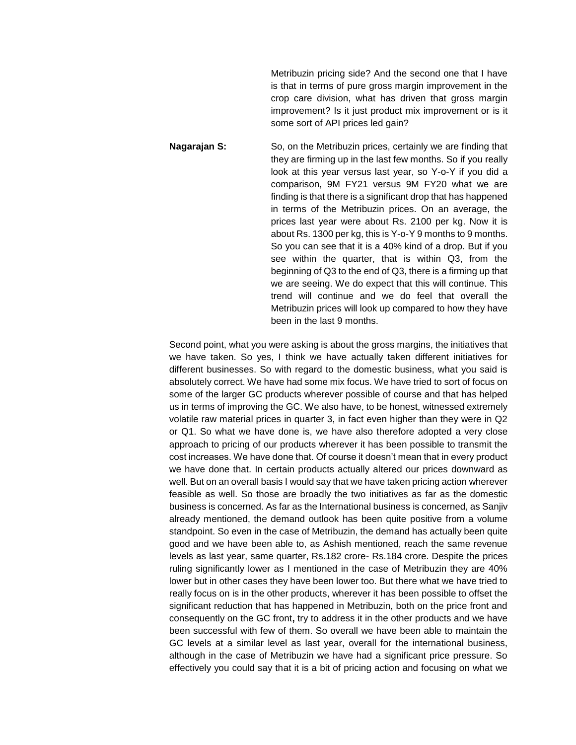Metribuzin pricing side? And the second one that I have is that in terms of pure gross margin improvement in the crop care division, what has driven that gross margin improvement? Is it just product mix improvement or is it some sort of API prices led gain?

**Nagarajan S:** So, on the Metribuzin prices, certainly we are finding that they are firming up in the last few months. So if you really look at this year versus last year, so Y-o-Y if you did a comparison, 9M FY21 versus 9M FY20 what we are finding is that there is a significant drop that has happened in terms of the Metribuzin prices. On an average, the prices last year were about Rs. 2100 per kg. Now it is about Rs. 1300 per kg, this is Y-o-Y 9 months to 9 months. So you can see that it is a 40% kind of a drop. But if you see within the quarter, that is within Q3, from the beginning of Q3 to the end of Q3, there is a firming up that we are seeing. We do expect that this will continue. This trend will continue and we do feel that overall the Metribuzin prices will look up compared to how they have been in the last 9 months.

Second point, what you were asking is about the gross margins, the initiatives that we have taken. So yes, I think we have actually taken different initiatives for different businesses. So with regard to the domestic business, what you said is absolutely correct. We have had some mix focus. We have tried to sort of focus on some of the larger GC products wherever possible of course and that has helped us in terms of improving the GC. We also have, to be honest, witnessed extremely volatile raw material prices in quarter 3, in fact even higher than they were in Q2 or Q1. So what we have done is, we have also therefore adopted a very close approach to pricing of our products wherever it has been possible to transmit the cost increases. We have done that. Of course it doesn't mean that in every product we have done that. In certain products actually altered our prices downward as well. But on an overall basis I would say that we have taken pricing action wherever feasible as well. So those are broadly the two initiatives as far as the domestic business is concerned. As far as the International business is concerned, as Sanjiv already mentioned, the demand outlook has been quite positive from a volume standpoint. So even in the case of Metribuzin, the demand has actually been quite good and we have been able to, as Ashish mentioned, reach the same revenue levels as last year, same quarter, Rs.182 crore- Rs.184 crore. Despite the prices ruling significantly lower as I mentioned in the case of Metribuzin they are 40% lower but in other cases they have been lower too. But there what we have tried to really focus on is in the other products, wherever it has been possible to offset the significant reduction that has happened in Metribuzin, both on the price front and consequently on the GC front**,** try to address it in the other products and we have been successful with few of them. So overall we have been able to maintain the GC levels at a similar level as last year, overall for the international business, although in the case of Metribuzin we have had a significant price pressure. So effectively you could say that it is a bit of pricing action and focusing on what we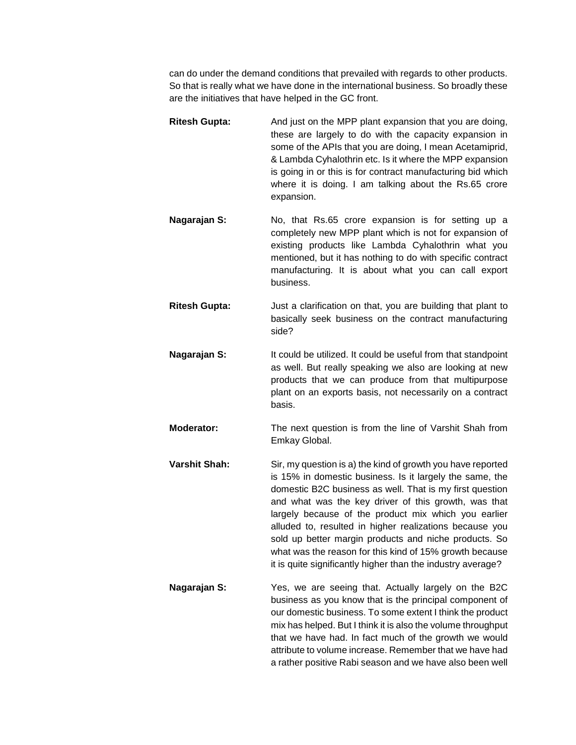can do under the demand conditions that prevailed with regards to other products. So that is really what we have done in the international business. So broadly these are the initiatives that have helped in the GC front.

- **Ritesh Gupta:** And just on the MPP plant expansion that you are doing, these are largely to do with the capacity expansion in some of the APIs that you are doing, I mean Acetamiprid, & Lambda Cyhalothrin etc. Is it where the MPP expansion is going in or this is for contract manufacturing bid which where it is doing. I am talking about the Rs.65 crore expansion.
- **Nagarajan S:** No, that Rs.65 crore expansion is for setting up a completely new MPP plant which is not for expansion of existing products like Lambda Cyhalothrin what you mentioned, but it has nothing to do with specific contract manufacturing. It is about what you can call export business.
- **Ritesh Gupta:** Just a clarification on that, you are building that plant to basically seek business on the contract manufacturing side?
- **Nagarajan S:** It could be utilized. It could be useful from that standpoint as well. But really speaking we also are looking at new products that we can produce from that multipurpose plant on an exports basis, not necessarily on a contract basis.
- **Moderator:** The next question is from the line of Varshit Shah from Emkay Global.
- **Varshit Shah:** Sir, my question is a) the kind of growth you have reported is 15% in domestic business. Is it largely the same, the domestic B2C business as well. That is my first question and what was the key driver of this growth, was that largely because of the product mix which you earlier alluded to, resulted in higher realizations because you sold up better margin products and niche products. So what was the reason for this kind of 15% growth because it is quite significantly higher than the industry average?
- **Nagarajan S:** Yes, we are seeing that. Actually largely on the B2C business as you know that is the principal component of our domestic business. To some extent I think the product mix has helped. But I think it is also the volume throughput that we have had. In fact much of the growth we would attribute to volume increase. Remember that we have had a rather positive Rabi season and we have also been well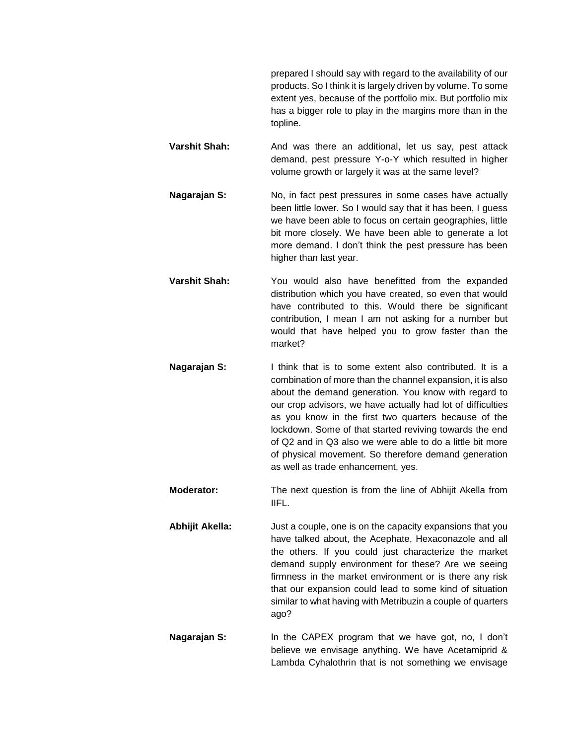prepared I should say with regard to the availability of our products. So I think it is largely driven by volume. To some extent yes, because of the portfolio mix. But portfolio mix has a bigger role to play in the margins more than in the topline.

- **Varshit Shah:** And was there an additional, let us say, pest attack demand, pest pressure Y-o-Y which resulted in higher volume growth or largely it was at the same level?
- **Nagarajan S:** No, in fact pest pressures in some cases have actually been little lower. So I would say that it has been, I guess we have been able to focus on certain geographies, little bit more closely. We have been able to generate a lot more demand. I don't think the pest pressure has been higher than last year.
- **Varshit Shah:** You would also have benefitted from the expanded distribution which you have created, so even that would have contributed to this. Would there be significant contribution, I mean I am not asking for a number but would that have helped you to grow faster than the market?
- **Nagarajan S:** I think that is to some extent also contributed. It is a combination of more than the channel expansion, it is also about the demand generation. You know with regard to our crop advisors, we have actually had lot of difficulties as you know in the first two quarters because of the lockdown. Some of that started reviving towards the end of Q2 and in Q3 also we were able to do a little bit more of physical movement. So therefore demand generation as well as trade enhancement, yes.
- **Moderator:** The next question is from the line of Abhijit Akella from IIFL.
- **Abhijit Akella:** Just a couple, one is on the capacity expansions that you have talked about, the Acephate, Hexaconazole and all the others. If you could just characterize the market demand supply environment for these? Are we seeing firmness in the market environment or is there any risk that our expansion could lead to some kind of situation similar to what having with Metribuzin a couple of quarters ago?
- **Nagarajan S:** In the CAPEX program that we have got, no, I don't believe we envisage anything. We have Acetamiprid & Lambda Cyhalothrin that is not something we envisage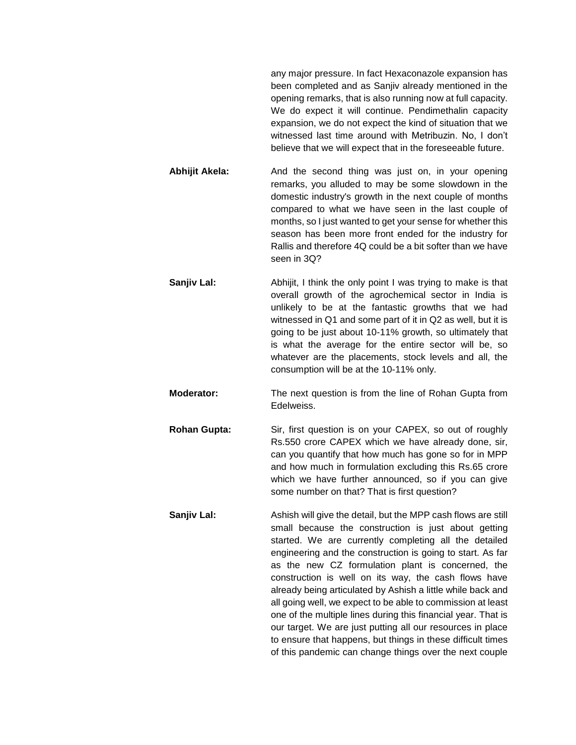any major pressure. In fact Hexaconazole expansion has been completed and as Sanjiv already mentioned in the opening remarks, that is also running now at full capacity. We do expect it will continue. Pendimethalin capacity expansion, we do not expect the kind of situation that we witnessed last time around with Metribuzin. No, I don't believe that we will expect that in the foreseeable future.

- **Abhijit Akela:** And the second thing was just on, in your opening remarks, you alluded to may be some slowdown in the domestic industry's growth in the next couple of months compared to what we have seen in the last couple of months, so I just wanted to get your sense for whether this season has been more front ended for the industry for Rallis and therefore 4Q could be a bit softer than we have seen in 3Q?
- **Sanjiv Lal:** Abhijit, I think the only point I was trying to make is that overall growth of the agrochemical sector in India is unlikely to be at the fantastic growths that we had witnessed in Q1 and some part of it in Q2 as well, but it is going to be just about 10-11% growth, so ultimately that is what the average for the entire sector will be, so whatever are the placements, stock levels and all, the consumption will be at the 10-11% only.
- **Moderator:** The next question is from the line of Rohan Gupta from Edelweiss.
- **Rohan Gupta:** Sir, first question is on your CAPEX, so out of roughly Rs.550 crore CAPEX which we have already done, sir, can you quantify that how much has gone so for in MPP and how much in formulation excluding this Rs.65 crore which we have further announced, so if you can give some number on that? That is first question?
- **Sanjiv Lal:** Ashish will give the detail, but the MPP cash flows are still small because the construction is just about getting started. We are currently completing all the detailed engineering and the construction is going to start. As far as the new CZ formulation plant is concerned, the construction is well on its way, the cash flows have already being articulated by Ashish a little while back and all going well, we expect to be able to commission at least one of the multiple lines during this financial year. That is our target. We are just putting all our resources in place to ensure that happens, but things in these difficult times of this pandemic can change things over the next couple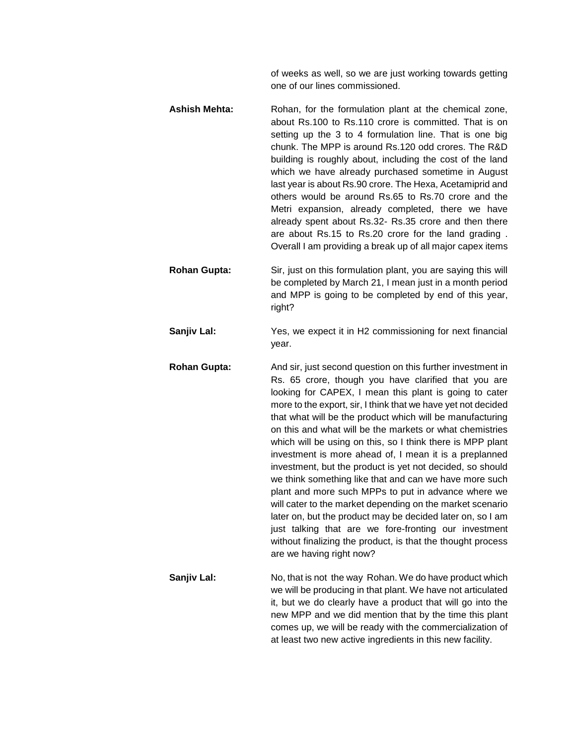of weeks as well, so we are just working towards getting one of our lines commissioned.

- **Ashish Mehta:** Rohan, for the formulation plant at the chemical zone, about Rs.100 to Rs.110 crore is committed. That is on setting up the 3 to 4 formulation line. That is one big chunk. The MPP is around Rs.120 odd crores. The R&D building is roughly about, including the cost of the land which we have already purchased sometime in August last year is about Rs.90 crore. The Hexa, Acetamiprid and others would be around Rs.65 to Rs.70 crore and the Metri expansion, already completed, there we have already spent about Rs.32- Rs.35 crore and then there are about Rs.15 to Rs.20 crore for the land grading . Overall I am providing a break up of all major capex items
- **Rohan Gupta:** Sir, just on this formulation plant, you are saying this will be completed by March 21, I mean just in a month period and MPP is going to be completed by end of this year, right?
- **Sanjiv Lal:** Yes, we expect it in H2 commissioning for next financial year.
- **Rohan Gupta:** And sir, just second question on this further investment in Rs. 65 crore, though you have clarified that you are looking for CAPEX, I mean this plant is going to cater more to the export, sir, I think that we have yet not decided that what will be the product which will be manufacturing on this and what will be the markets or what chemistries which will be using on this, so I think there is MPP plant investment is more ahead of, I mean it is a preplanned investment, but the product is yet not decided, so should we think something like that and can we have more such plant and more such MPPs to put in advance where we will cater to the market depending on the market scenario later on, but the product may be decided later on, so I am just talking that are we fore-fronting our investment without finalizing the product, is that the thought process are we having right now?
- **Sanjiv Lal:** No, that is not the way Rohan. We do have product which we will be producing in that plant. We have not articulated it, but we do clearly have a product that will go into the new MPP and we did mention that by the time this plant comes up, we will be ready with the commercialization of at least two new active ingredients in this new facility.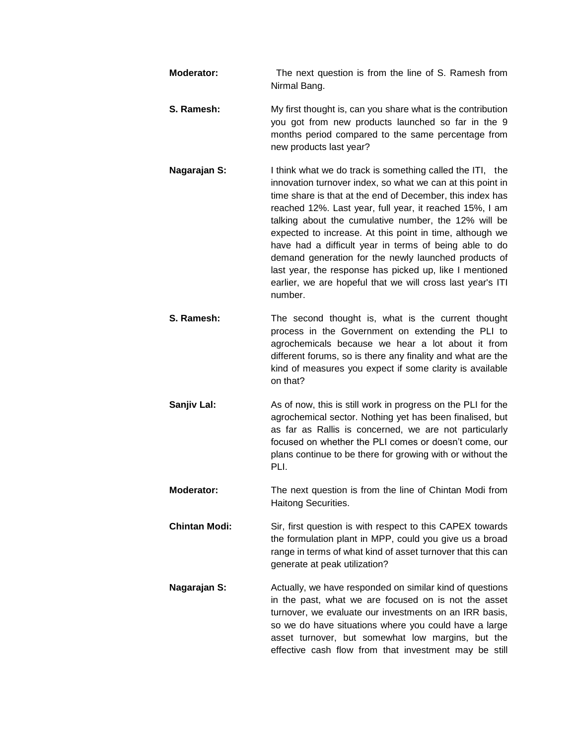- **Moderator:** The next question is from the line of S. Ramesh from Nirmal Bang. **S. Ramesh:** My first thought is, can you share what is the contribution you got from new products launched so far in the 9 months period compared to the same percentage from new products last year? **Nagarajan S:** I think what we do track is something called the ITI, the innovation turnover index, so what we can at this point in time share is that at the end of December, this index has reached 12%. Last year, full year, it reached 15%, I am talking about the cumulative number, the 12% will be expected to increase. At this point in time, although we have had a difficult year in terms of being able to do demand generation for the newly launched products of last year, the response has picked up, like I mentioned earlier, we are hopeful that we will cross last year's ITI number. **S. Ramesh:** The second thought is, what is the current thought process in the Government on extending the PLI to agrochemicals because we hear a lot about it from different forums, so is there any finality and what are the kind of measures you expect if some clarity is available on that? **Sanjiv Lal:** As of now, this is still work in progress on the PLI for the agrochemical sector. Nothing yet has been finalised, but as far as Rallis is concerned, we are not particularly focused on whether the PLI comes or doesn't come, our plans continue to be there for growing with or without the PLI. **Moderator:** The next question is from the line of Chintan Modi from Haitong Securities.
- **Chintan Modi:** Sir, first question is with respect to this CAPEX towards the formulation plant in MPP, could you give us a broad range in terms of what kind of asset turnover that this can generate at peak utilization?
- **Nagarajan S:** Actually, we have responded on similar kind of questions in the past, what we are focused on is not the asset turnover, we evaluate our investments on an IRR basis, so we do have situations where you could have a large asset turnover, but somewhat low margins, but the effective cash flow from that investment may be still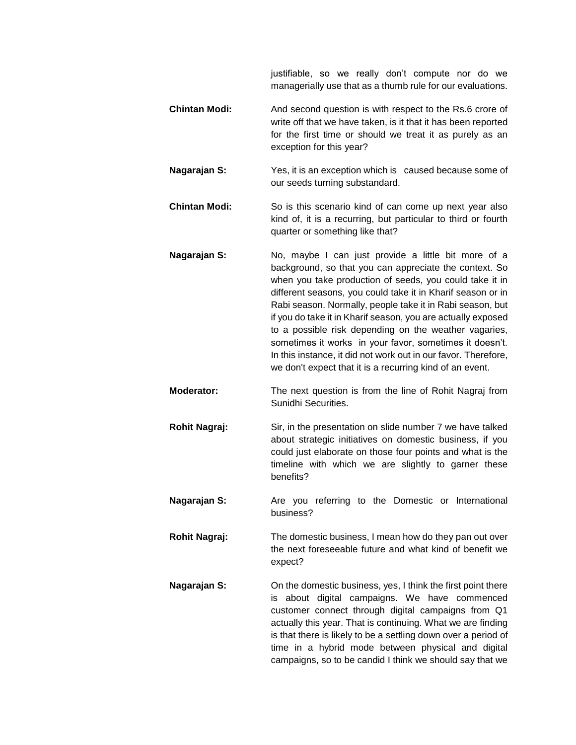justifiable, so we really don't compute nor do we managerially use that as a thumb rule for our evaluations.

- **Chintan Modi:** And second question is with respect to the Rs.6 crore of write off that we have taken, is it that it has been reported for the first time or should we treat it as purely as an exception for this year?
- **Nagarajan S:** Yes, it is an exception which is caused because some of our seeds turning substandard.
- **Chintan Modi:** So is this scenario kind of can come up next year also kind of, it is a recurring, but particular to third or fourth quarter or something like that?
- **Nagarajan S:** No, maybe I can just provide a little bit more of a background, so that you can appreciate the context. So when you take production of seeds, you could take it in different seasons, you could take it in Kharif season or in Rabi season. Normally, people take it in Rabi season, but if you do take it in Kharif season, you are actually exposed to a possible risk depending on the weather vagaries, sometimes it works in your favor, sometimes it doesn't. In this instance, it did not work out in our favor. Therefore, we don't expect that it is a recurring kind of an event.
- **Moderator:** The next question is from the line of Rohit Nagraj from Sunidhi Securities.
- **Rohit Nagraj:** Sir, in the presentation on slide number 7 we have talked about strategic initiatives on domestic business, if you could just elaborate on those four points and what is the timeline with which we are slightly to garner these benefits?
- **Nagarajan S:** Are you referring to the Domestic or International business?
- **Rohit Nagraj:** The domestic business, I mean how do they pan out over the next foreseeable future and what kind of benefit we expect?
- **Nagarajan S:** On the domestic business, yes, I think the first point there is about digital campaigns. We have commenced customer connect through digital campaigns from Q1 actually this year. That is continuing. What we are finding is that there is likely to be a settling down over a period of time in a hybrid mode between physical and digital campaigns, so to be candid I think we should say that we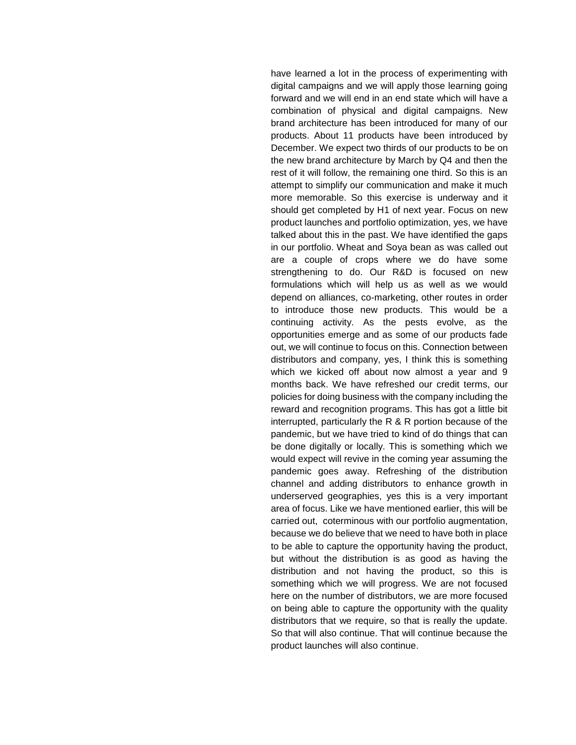have learned a lot in the process of experimenting with digital campaigns and we will apply those learning going forward and we will end in an end state which will have a combination of physical and digital campaigns. New brand architecture has been introduced for many of our products. About 11 products have been introduced by December. We expect two thirds of our products to be on the new brand architecture by March by Q4 and then the rest of it will follow, the remaining one third. So this is an attempt to simplify our communication and make it much more memorable. So this exercise is underway and it should get completed by H1 of next year. Focus on new product launches and portfolio optimization, yes, we have talked about this in the past. We have identified the gaps in our portfolio. Wheat and Soya bean as was called out are a couple of crops where we do have some strengthening to do. Our R&D is focused on new formulations which will help us as well as we would depend on alliances, co-marketing, other routes in order to introduce those new products. This would be a continuing activity. As the pests evolve, as the opportunities emerge and as some of our products fade out, we will continue to focus on this. Connection between distributors and company, yes, I think this is something which we kicked off about now almost a year and 9 months back. We have refreshed our credit terms, our policies for doing business with the company including the reward and recognition programs. This has got a little bit interrupted, particularly the R & R portion because of the pandemic, but we have tried to kind of do things that can be done digitally or locally. This is something which we would expect will revive in the coming year assuming the pandemic goes away. Refreshing of the distribution channel and adding distributors to enhance growth in underserved geographies, yes this is a very important area of focus. Like we have mentioned earlier, this will be carried out, coterminous with our portfolio augmentation, because we do believe that we need to have both in place to be able to capture the opportunity having the product, but without the distribution is as good as having the distribution and not having the product, so this is something which we will progress. We are not focused here on the number of distributors, we are more focused on being able to capture the opportunity with the quality distributors that we require, so that is really the update. So that will also continue. That will continue because the product launches will also continue.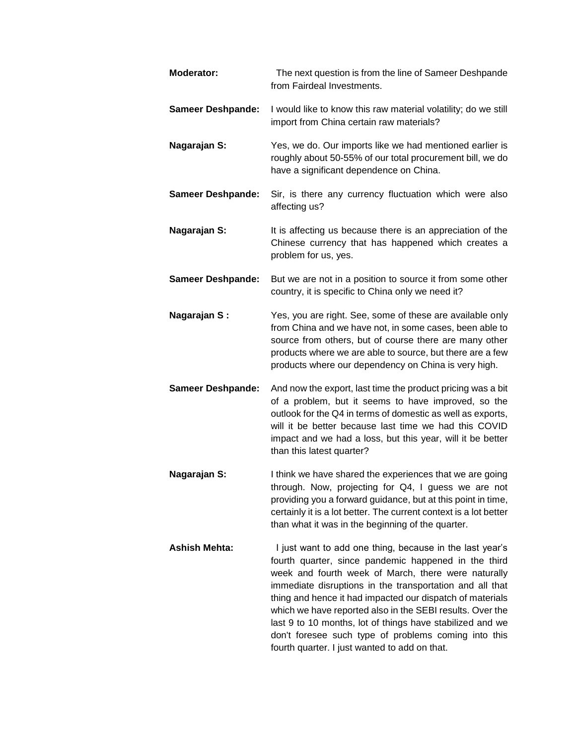| Moderator:               | The next question is from the line of Sameer Deshpande<br>from Fairdeal Investments.                                                                                                                                                                                                                                                                                                                                                                                                                                                |
|--------------------------|-------------------------------------------------------------------------------------------------------------------------------------------------------------------------------------------------------------------------------------------------------------------------------------------------------------------------------------------------------------------------------------------------------------------------------------------------------------------------------------------------------------------------------------|
| <b>Sameer Deshpande:</b> | I would like to know this raw material volatility; do we still<br>import from China certain raw materials?                                                                                                                                                                                                                                                                                                                                                                                                                          |
| Nagarajan S:             | Yes, we do. Our imports like we had mentioned earlier is<br>roughly about 50-55% of our total procurement bill, we do<br>have a significant dependence on China.                                                                                                                                                                                                                                                                                                                                                                    |
| <b>Sameer Deshpande:</b> | Sir, is there any currency fluctuation which were also<br>affecting us?                                                                                                                                                                                                                                                                                                                                                                                                                                                             |
| Nagarajan S:             | It is affecting us because there is an appreciation of the<br>Chinese currency that has happened which creates a<br>problem for us, yes.                                                                                                                                                                                                                                                                                                                                                                                            |
| <b>Sameer Deshpande:</b> | But we are not in a position to source it from some other<br>country, it is specific to China only we need it?                                                                                                                                                                                                                                                                                                                                                                                                                      |
| Nagarajan S:             | Yes, you are right. See, some of these are available only<br>from China and we have not, in some cases, been able to<br>source from others, but of course there are many other<br>products where we are able to source, but there are a few<br>products where our dependency on China is very high.                                                                                                                                                                                                                                 |
| <b>Sameer Deshpande:</b> | And now the export, last time the product pricing was a bit<br>of a problem, but it seems to have improved, so the<br>outlook for the Q4 in terms of domestic as well as exports,<br>will it be better because last time we had this COVID<br>impact and we had a loss, but this year, will it be better<br>than this latest quarter?                                                                                                                                                                                               |
| Nagarajan S:             | I think we have shared the experiences that we are going<br>through. Now, projecting for Q4, I guess we are not<br>providing you a forward guidance, but at this point in time,<br>certainly it is a lot better. The current context is a lot better<br>than what it was in the beginning of the quarter.                                                                                                                                                                                                                           |
| <b>Ashish Mehta:</b>     | I just want to add one thing, because in the last year's<br>fourth quarter, since pandemic happened in the third<br>week and fourth week of March, there were naturally<br>immediate disruptions in the transportation and all that<br>thing and hence it had impacted our dispatch of materials<br>which we have reported also in the SEBI results. Over the<br>last 9 to 10 months, lot of things have stabilized and we<br>don't foresee such type of problems coming into this<br>fourth quarter. I just wanted to add on that. |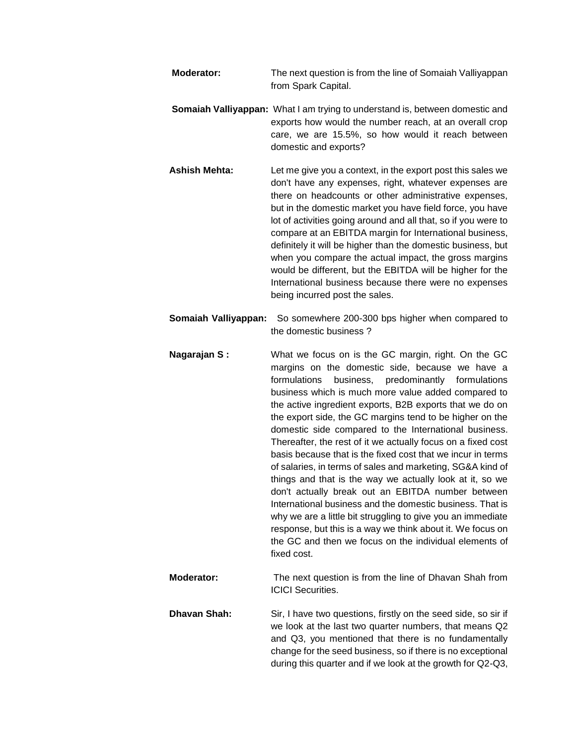| <b>Moderator:</b> | The next question is from the line of Somaiah Valliyappan |
|-------------------|-----------------------------------------------------------|
|                   | from Spark Capital.                                       |

- **Somaiah Valliyappan:** What I am trying to understand is, between domestic and exports how would the number reach, at an overall crop care, we are 15.5%, so how would it reach between domestic and exports?
- **Ashish Mehta:** Let me give you a context, in the export post this sales we don't have any expenses, right, whatever expenses are there on headcounts or other administrative expenses, but in the domestic market you have field force, you have lot of activities going around and all that, so if you were to compare at an EBITDA margin for International business, definitely it will be higher than the domestic business, but when you compare the actual impact, the gross margins would be different, but the EBITDA will be higher for the International business because there were no expenses being incurred post the sales.
- **Somaiah Valliyappan:** So somewhere 200-300 bps higher when compared to the domestic business ?
- **Nagarajan S:** What we focus on is the GC margin, right. On the GC margins on the domestic side, because we have a formulations business, predominantly formulations business which is much more value added compared to the active ingredient exports, B2B exports that we do on the export side, the GC margins tend to be higher on the domestic side compared to the International business. Thereafter, the rest of it we actually focus on a fixed cost basis because that is the fixed cost that we incur in terms of salaries, in terms of sales and marketing, SG&A kind of things and that is the way we actually look at it, so we don't actually break out an EBITDA number between International business and the domestic business. That is why we are a little bit struggling to give you an immediate response, but this is a way we think about it. We focus on the GC and then we focus on the individual elements of fixed cost.
- **Moderator:** The next question is from the line of Dhavan Shah from ICICI Securities.
- **Dhavan Shah:** Sir, I have two questions, firstly on the seed side, so sir if we look at the last two quarter numbers, that means Q2 and Q3, you mentioned that there is no fundamentally change for the seed business, so if there is no exceptional during this quarter and if we look at the growth for Q2-Q3,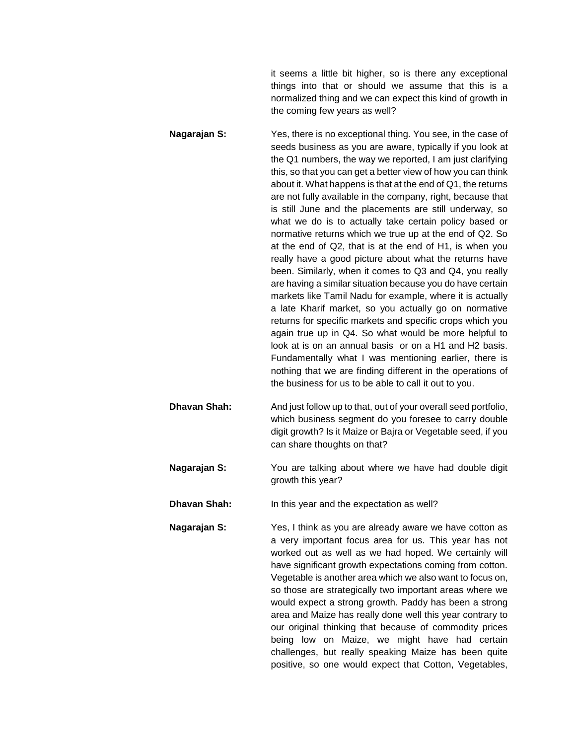it seems a little bit higher, so is there any exceptional things into that or should we assume that this is a normalized thing and we can expect this kind of growth in the coming few years as well?

- **Nagarajan S:** Yes, there is no exceptional thing. You see, in the case of seeds business as you are aware, typically if you look at the Q1 numbers, the way we reported, I am just clarifying this, so that you can get a better view of how you can think about it. What happens is that at the end of Q1, the returns are not fully available in the company, right, because that is still June and the placements are still underway, so what we do is to actually take certain policy based or normative returns which we true up at the end of Q2. So at the end of Q2, that is at the end of H1, is when you really have a good picture about what the returns have been. Similarly, when it comes to Q3 and Q4, you really are having a similar situation because you do have certain markets like Tamil Nadu for example, where it is actually a late Kharif market, so you actually go on normative returns for specific markets and specific crops which you again true up in Q4. So what would be more helpful to look at is on an annual basis or on a H1 and H2 basis. Fundamentally what I was mentioning earlier, there is nothing that we are finding different in the operations of the business for us to be able to call it out to you.
- **Dhavan Shah:** And just follow up to that, out of your overall seed portfolio, which business segment do you foresee to carry double digit growth? Is it Maize or Bajra or Vegetable seed, if you can share thoughts on that?
- **Nagarajan S:** You are talking about where we have had double digit growth this year?
- **Dhavan Shah:** In this year and the expectation as well?
- **Nagarajan S:** Yes, I think as you are already aware we have cotton as a very important focus area for us. This year has not worked out as well as we had hoped. We certainly will have significant growth expectations coming from cotton. Vegetable is another area which we also want to focus on, so those are strategically two important areas where we would expect a strong growth. Paddy has been a strong area and Maize has really done well this year contrary to our original thinking that because of commodity prices being low on Maize, we might have had certain challenges, but really speaking Maize has been quite positive, so one would expect that Cotton, Vegetables,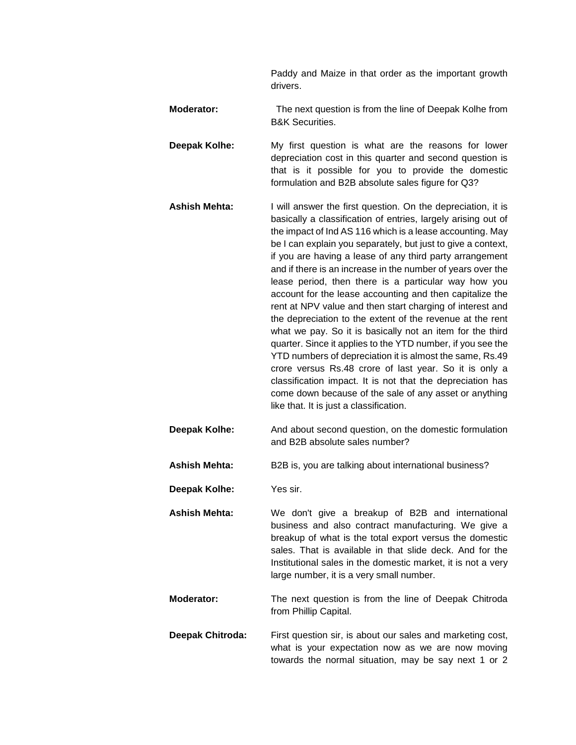Paddy and Maize in that order as the important growth drivers.

- **Moderator:** The next question is from the line of Deepak Kolhe from B&K Securities.
- **Deepak Kolhe:** My first question is what are the reasons for lower depreciation cost in this quarter and second question is that is it possible for you to provide the domestic formulation and B2B absolute sales figure for Q3?
- **Ashish Mehta:** I will answer the first question. On the depreciation, it is basically a classification of entries, largely arising out of the impact of Ind AS 116 which is a lease accounting. May be I can explain you separately, but just to give a context, if you are having a lease of any third party arrangement and if there is an increase in the number of years over the lease period, then there is a particular way how you account for the lease accounting and then capitalize the rent at NPV value and then start charging of interest and the depreciation to the extent of the revenue at the rent what we pay. So it is basically not an item for the third quarter. Since it applies to the YTD number, if you see the YTD numbers of depreciation it is almost the same, Rs.49 crore versus Rs.48 crore of last year. So it is only a classification impact. It is not that the depreciation has come down because of the sale of any asset or anything like that. It is just a classification.
- **Deepak Kolhe:** And about second question, on the domestic formulation and B2B absolute sales number?
- **Ashish Mehta:** B2B is, you are talking about international business?
- **Deepak Kolhe:** Yes sir.
- **Ashish Mehta:** We don't give a breakup of B2B and international business and also contract manufacturing. We give a breakup of what is the total export versus the domestic sales. That is available in that slide deck. And for the Institutional sales in the domestic market, it is not a very large number, it is a very small number.
- **Moderator:** The next question is from the line of Deepak Chitroda from Phillip Capital.
- **Deepak Chitroda:** First question sir, is about our sales and marketing cost, what is your expectation now as we are now moving towards the normal situation, may be say next 1 or 2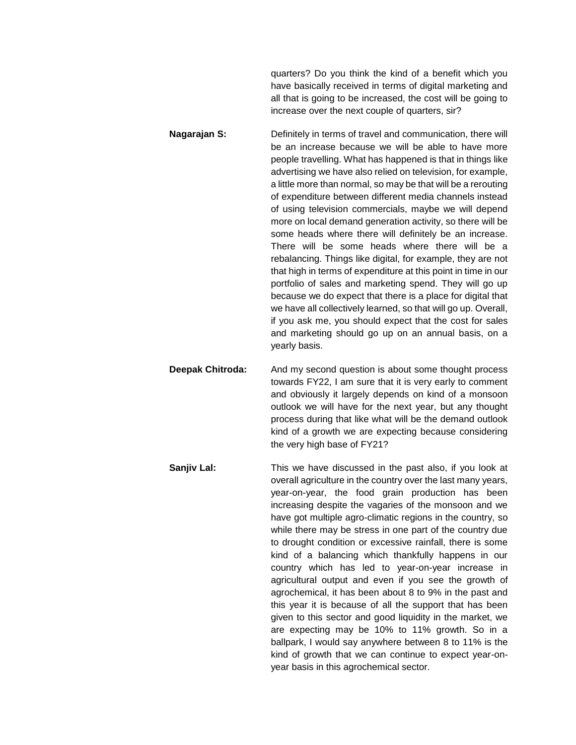quarters? Do you think the kind of a benefit which you have basically received in terms of digital marketing and all that is going to be increased, the cost will be going to increase over the next couple of quarters, sir?

- **Nagarajan S:** Definitely in terms of travel and communication, there will be an increase because we will be able to have more people travelling. What has happened is that in things like advertising we have also relied on television, for example, a little more than normal, so may be that will be a rerouting of expenditure between different media channels instead of using television commercials, maybe we will depend more on local demand generation activity, so there will be some heads where there will definitely be an increase. There will be some heads where there will be a rebalancing. Things like digital, for example, they are not that high in terms of expenditure at this point in time in our portfolio of sales and marketing spend. They will go up because we do expect that there is a place for digital that we have all collectively learned, so that will go up. Overall, if you ask me, you should expect that the cost for sales and marketing should go up on an annual basis, on a yearly basis.
- **Deepak Chitroda:** And my second question is about some thought process towards FY22, I am sure that it is very early to comment and obviously it largely depends on kind of a monsoon outlook we will have for the next year, but any thought process during that like what will be the demand outlook kind of a growth we are expecting because considering the very high base of FY21?
- **Sanjiv Lal:** This we have discussed in the past also, if you look at overall agriculture in the country over the last many years, year-on-year, the food grain production has been increasing despite the vagaries of the monsoon and we have got multiple agro-climatic regions in the country, so while there may be stress in one part of the country due to drought condition or excessive rainfall, there is some kind of a balancing which thankfully happens in our country which has led to year-on-year increase in agricultural output and even if you see the growth of agrochemical, it has been about 8 to 9% in the past and this year it is because of all the support that has been given to this sector and good liquidity in the market, we are expecting may be 10% to 11% growth. So in a ballpark, I would say anywhere between 8 to 11% is the kind of growth that we can continue to expect year-onyear basis in this agrochemical sector.